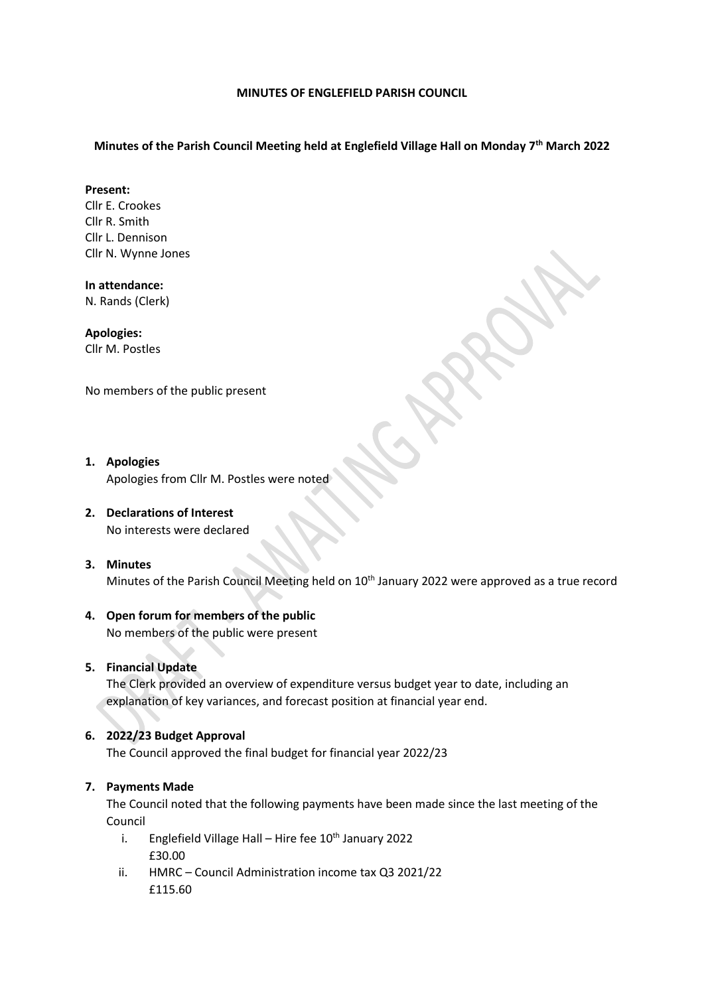#### **MINUTES OF ENGLEFIELD PARISH COUNCIL**

# **Minutes of the Parish Council Meeting held at Englefield Village Hall on Monday 7 th March 2022**

### **Present:**

Cllr E. Crookes Cllr R. Smith Cllr L. Dennison Cllr N. Wynne Jones

**In attendance:**  N. Rands (Clerk)

**Apologies:**  Cllr M. Postles

No members of the public present

## **1. Apologies** Apologies from Cllr M. Postles were noted

# **2. Declarations of Interest**

No interests were declared

### **3. Minutes**

Minutes of the Parish Council Meeting held on 10<sup>th</sup> January 2022 were approved as a true record

# **4. Open forum for members of the public**

No members of the public were present

# **5. Financial Update**

The Clerk provided an overview of expenditure versus budget year to date, including an explanation of key variances, and forecast position at financial year end.

# **6. 2022/23 Budget Approval**

The Council approved the final budget for financial year 2022/23

# **7. Payments Made**

The Council noted that the following payments have been made since the last meeting of the Council

- i. Englefield Village Hall Hire fee  $10^{th}$  January 2022 £30.00
- ii. HMRC Council Administration income tax Q3 2021/22 £115.60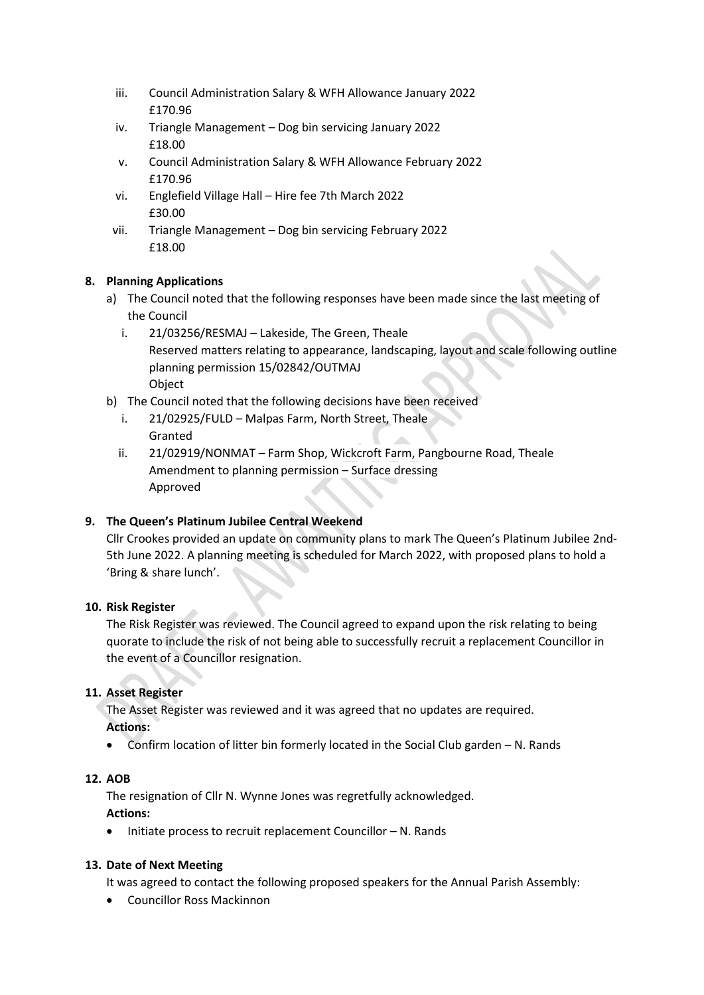- iii. Council Administration Salary & WFH Allowance January 2022 £170.96
- iv. Triangle Management Dog bin servicing January 2022 £18.00
- v. Council Administration Salary & WFH Allowance February 2022 £170.96
- vi. Englefield Village Hall Hire fee 7th March 2022 £30.00
- vii. Triangle Management Dog bin servicing February 2022 £18.00

# **8. Planning Applications**

- a) The Council noted that the following responses have been made since the last meeting of the Council
	- i. 21/03256/RESMAJ Lakeside, The Green, Theale Reserved matters relating to appearance, landscaping, layout and scale following outline planning permission 15/02842/OUTMAJ **Object**
- b) The Council noted that the following decisions have been received
	- i. 21/02925/FULD Malpas Farm, North Street, Theale Granted
	- ii. 21/02919/NONMAT Farm Shop, Wickcroft Farm, Pangbourne Road, Theale Amendment to planning permission – Surface dressing Approved

# **9. The Queen's Platinum Jubilee Central Weekend**

Cllr Crookes provided an update on community plans to mark The Queen's Platinum Jubilee 2nd-5th June 2022. A planning meeting is scheduled for March 2022, with proposed plans to hold a 'Bring & share lunch'.

# **10. Risk Register**

The Risk Register was reviewed. The Council agreed to expand upon the risk relating to being quorate to include the risk of not being able to successfully recruit a replacement Councillor in the event of a Councillor resignation.

# **11. Asset Register**

The Asset Register was reviewed and it was agreed that no updates are required. **Actions:**

Confirm location of litter bin formerly located in the Social Club garden – N. Rands

# **12. AOB**

The resignation of Cllr N. Wynne Jones was regretfully acknowledged. **Actions:**

 $\bullet$  Initiate process to recruit replacement Councillor  $- N$ . Rands

# **13. Date of Next Meeting**

It was agreed to contact the following proposed speakers for the Annual Parish Assembly:

Councillor Ross Mackinnon